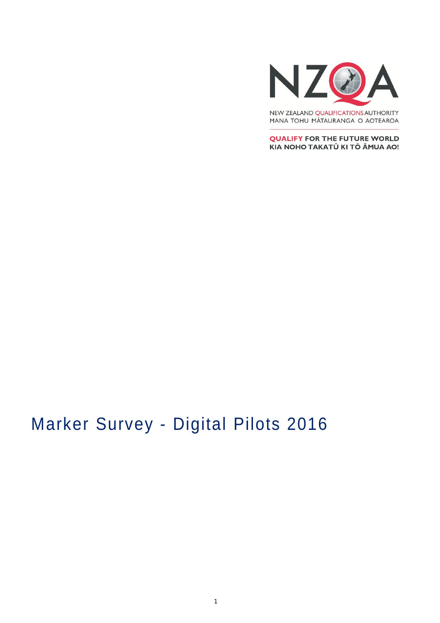

NEW ZEALAND QUALIFICATIONS AUTHORITY MANA TOHU MĀTAURANGA O AOTEAROA

**QUALIFY FOR THE FUTURE WORLD** KIA NOHO TAKATŪ KI TŌ ĀMUA AO!

# Marker Survey - Digital Pilots 2016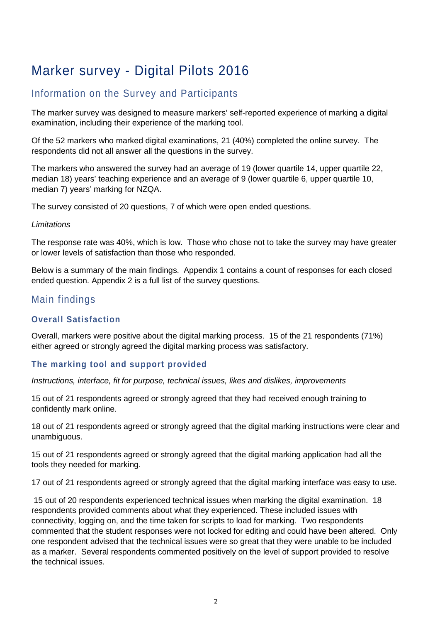# Marker survey - Digital Pilots 2016

# Information on the Survey and Participants

The marker survey was designed to measure markers' self-reported experience of marking a digital examination, including their experience of the marking tool.

Of the 52 markers who marked digital examinations, 21 (40%) completed the online survey. The respondents did not all answer all the questions in the survey.

The markers who answered the survey had an average of 19 (lower quartile 14, upper quartile 22, median 18) years' teaching experience and an average of 9 (lower quartile 6, upper quartile 10, median 7) years' marking for NZQA.

The survey consisted of 20 questions, 7 of which were open ended questions.

#### *Limitations*

The response rate was 40%, which is low. Those who chose not to take the survey may have greater or lower levels of satisfaction than those who responded.

Below is a summary of the main findings. Appendix 1 contains a count of responses for each closed ended question. Appendix 2 is a full list of the survey questions.

## Main findings

### **Overall Satisfaction**

Overall, markers were positive about the digital marking process. 15 of the 21 respondents (71%) either agreed or strongly agreed the digital marking process was satisfactory.

### **The marking tool and support provided**

*Instructions, interface, fit for purpose, technical issues, likes and dislikes, improvements*

15 out of 21 respondents agreed or strongly agreed that they had received enough training to confidently mark online.

18 out of 21 respondents agreed or strongly agreed that the digital marking instructions were clear and unambiguous.

15 out of 21 respondents agreed or strongly agreed that the digital marking application had all the tools they needed for marking.

17 out of 21 respondents agreed or strongly agreed that the digital marking interface was easy to use.

15 out of 20 respondents experienced technical issues when marking the digital examination. 18 respondents provided comments about what they experienced. These included issues with connectivity, logging on, and the time taken for scripts to load for marking. Two respondents commented that the student responses were not locked for editing and could have been altered. Only one respondent advised that the technical issues were so great that they were unable to be included as a marker. Several respondents commented positively on the level of support provided to resolve the technical issues.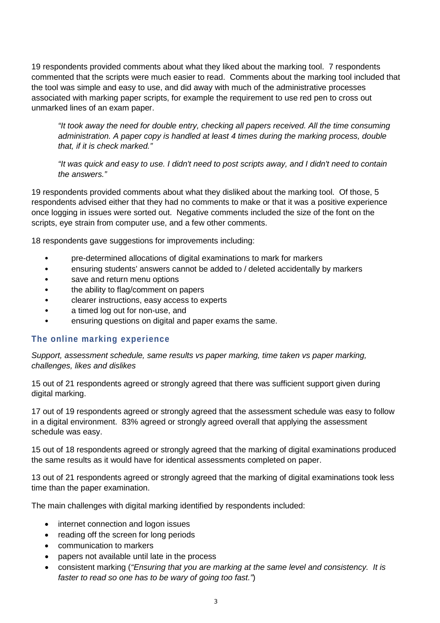19 respondents provided comments about what they liked about the marking tool. 7 respondents commented that the scripts were much easier to read. Comments about the marking tool included that the tool was simple and easy to use, and did away with much of the administrative processes associated with marking paper scripts, for example the requirement to use red pen to cross out unmarked lines of an exam paper.

*"It took away the need for double entry, checking all papers received. All the time consuming administration. A paper copy is handled at least 4 times during the marking process, double that, if it is check marked."*

*"It was quick and easy to use. I didn't need to post scripts away, and I didn't need to contain the answers."*

19 respondents provided comments about what they disliked about the marking tool. Of those, 5 respondents advised either that they had no comments to make or that it was a positive experience once logging in issues were sorted out. Negative comments included the size of the font on the scripts, eye strain from computer use, and a few other comments.

18 respondents gave suggestions for improvements including:

- pre-determined allocations of digital examinations to mark for markers
- ensuring students' answers cannot be added to / deleted accidentally by markers
- save and return menu options
- the ability to flag/comment on papers
- clearer instructions, easy access to experts
- a timed log out for non-use, and
- ensuring questions on digital and paper exams the same.

#### **The online marking experience**

*Support, assessment schedule, same results vs paper marking, time taken vs paper marking, challenges, likes and dislikes*

15 out of 21 respondents agreed or strongly agreed that there was sufficient support given during digital marking.

17 out of 19 respondents agreed or strongly agreed that the assessment schedule was easy to follow in a digital environment. 83% agreed or strongly agreed overall that applying the assessment schedule was easy.

15 out of 18 respondents agreed or strongly agreed that the marking of digital examinations produced the same results as it would have for identical assessments completed on paper.

13 out of 21 respondents agreed or strongly agreed that the marking of digital examinations took less time than the paper examination.

The main challenges with digital marking identified by respondents included:

- internet connection and logon issues
- reading off the screen for long periods
- communication to markers
- papers not available until late in the process
- consistent marking (*"Ensuring that you are marking at the same level and consistency. It is faster to read so one has to be wary of going too fast."*)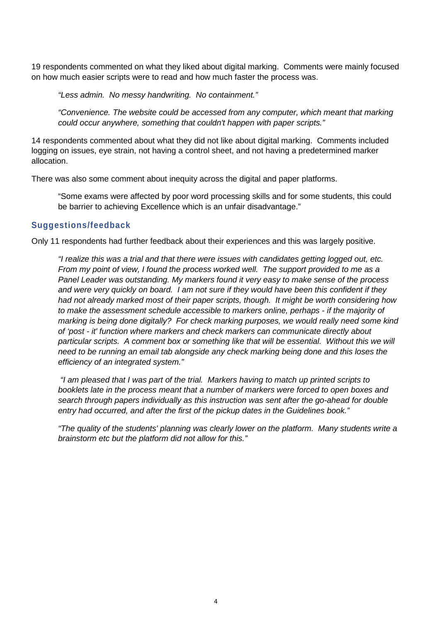19 respondents commented on what they liked about digital marking. Comments were mainly focused on how much easier scripts were to read and how much faster the process was.

*"Less admin. No messy handwriting. No containment."*

*"Convenience. The website could be accessed from any computer, which meant that marking could occur anywhere, something that couldn't happen with paper scripts."*

14 respondents commented about what they did not like about digital marking. Comments included logging on issues, eye strain, not having a control sheet, and not having a predetermined marker allocation.

There was also some comment about inequity across the digital and paper platforms.

"Some exams were affected by poor word processing skills and for some students, this could be barrier to achieving Excellence which is an unfair disadvantage."

#### **Suggestions/feedback**

Only 11 respondents had further feedback about their experiences and this was largely positive.

*"I realize this was a trial and that there were issues with candidates getting logged out, etc. From my point of view, I found the process worked well. The support provided to me as a Panel Leader was outstanding. My markers found it very easy to make sense of the process and were very quickly on board. I am not sure if they would have been this confident if they had not already marked most of their paper scripts, though. It might be worth considering how to make the assessment schedule accessible to markers online, perhaps - if the majority of marking is being done digitally? For check marking purposes, we would really need some kind of 'post - it' function where markers and check markers can communicate directly about particular scripts. A comment box or something like that will be essential. Without this we will need to be running an email tab alongside any check marking being done and this loses the efficiency of an integrated system."*

*"I am pleased that I was part of the trial. Markers having to match up printed scripts to booklets late in the process meant that a number of markers were forced to open boxes and search through papers individually as this instruction was sent after the go-ahead for double entry had occurred, and after the first of the pickup dates in the Guidelines book."*

*"The quality of the students' planning was clearly lower on the platform. Many students write a brainstorm etc but the platform did not allow for this."*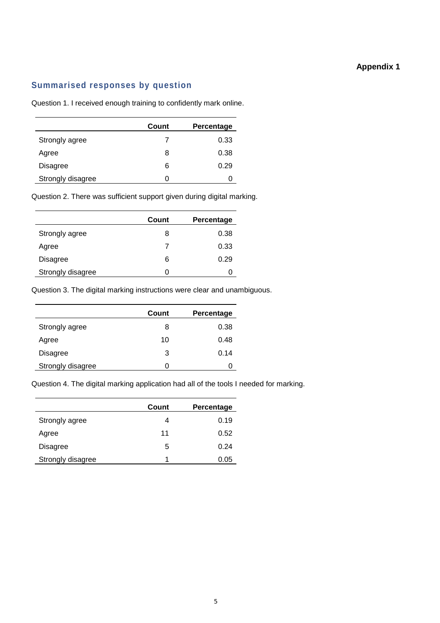#### **Appendix 1**

#### **Summarised responses by question**

Question 1. I received enough training to confidently mark online.

|                   | Count | Percentage |
|-------------------|-------|------------|
| Strongly agree    |       | 0.33       |
| Agree             | 8     | 0.38       |
| Disagree          | 6     | 0.29       |
| Strongly disagree | O     |            |

Question 2. There was sufficient support given during digital marking.

|                   | Count | Percentage |
|-------------------|-------|------------|
| Strongly agree    | 8     | 0.38       |
| Agree             | 7     | 0.33       |
| <b>Disagree</b>   | 6     | 0.29       |
| Strongly disagree | 0     |            |

Question 3. The digital marking instructions were clear and unambiguous.

|                   | Count | Percentage |
|-------------------|-------|------------|
| Strongly agree    | 8     | 0.38       |
| Agree             | 10    | 0.48       |
| Disagree          | 3     | 0.14       |
| Strongly disagree | O     | O          |

Question 4. The digital marking application had all of the tools I needed for marking.

|                   | Count | Percentage |
|-------------------|-------|------------|
| Strongly agree    | 4     | 0.19       |
| Agree             | 11    | 0.52       |
| Disagree          | 5     | 0.24       |
| Strongly disagree | 1     | 0.05       |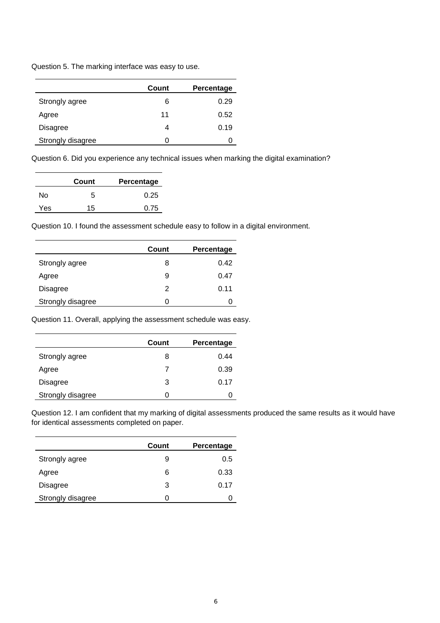Question 5. The marking interface was easy to use.

|                   | Count | Percentage |
|-------------------|-------|------------|
| Strongly agree    | 6     | 0.29       |
| Agree             | 11    | 0.52       |
| Disagree          | Δ     | 0.19       |
| Strongly disagree | O     |            |

Question 6. Did you experience any technical issues when marking the digital examination?

|     | Count | Percentage |
|-----|-------|------------|
| N٥  | 5     | 0.25       |
| Yes | 15    | 0.75       |

Question 10. I found the assessment schedule easy to follow in a digital environment.

|                   | Count        | Percentage |
|-------------------|--------------|------------|
| Strongly agree    | 8            | 0.42       |
| Agree             | 9            | 0.47       |
| Disagree          | 2            | 0.11       |
| Strongly disagree | $\mathbf{I}$ |            |

Question 11. Overall, applying the assessment schedule was easy.

|                   | Count | Percentage |
|-------------------|-------|------------|
| Strongly agree    | 8     | 0.44       |
| Agree             |       | 0.39       |
| <b>Disagree</b>   | 3     | 0.17       |
| Strongly disagree | 0     |            |

Question 12. I am confident that my marking of digital assessments produced the same results as it would have for identical assessments completed on paper.

|                   | Count | Percentage |
|-------------------|-------|------------|
| Strongly agree    | 9     | 0.5        |
| Agree             | 6     | 0.33       |
| <b>Disagree</b>   | 3     | 0.17       |
| Strongly disagree | O     |            |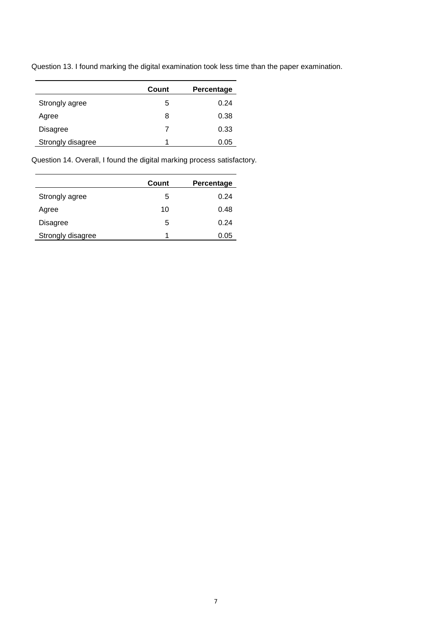Question 13. I found marking the digital examination took less time than the paper examination.

|                   | Count | Percentage |
|-------------------|-------|------------|
| Strongly agree    | 5     | 0.24       |
| Agree             | 8     | 0.38       |
| <b>Disagree</b>   |       | 0.33       |
| Strongly disagree | 1     | 0.05       |

Question 14. Overall, I found the digital marking process satisfactory.

|                   | Count | Percentage |
|-------------------|-------|------------|
| Strongly agree    | 5     | 0.24       |
| Agree             | 10    | 0.48       |
| Disagree          | 5     | 0.24       |
| Strongly disagree |       | 0.05       |